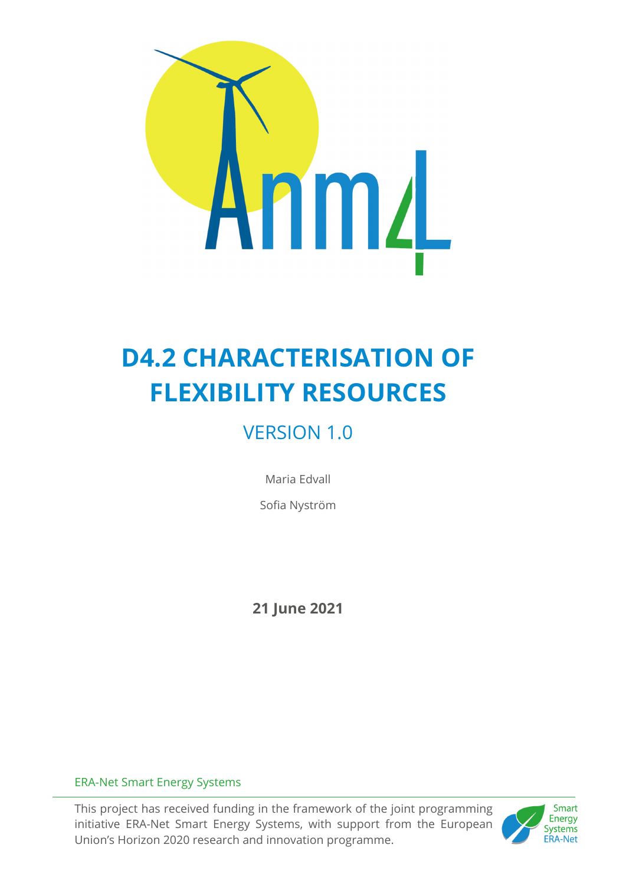

# **D4.2 CHARACTERISATION OF FLEXIBILITY RESOURCES**

# VERSION 1.0

Maria Edvall

Sofia Nyström

**21 June 2021** 

## ERA-Net Smart Energy Systems

This project has received funding in the framework of the joint programming initiative ERA-Net Smart Energy Systems, with support from the European Union's Horizon 2020 research and innovation programme.

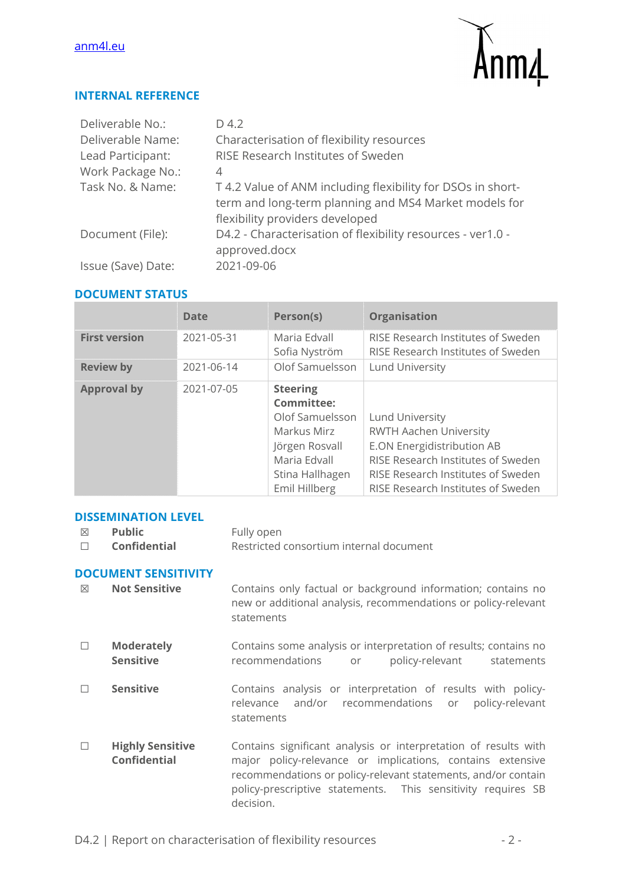#### anm4l.eu



#### **INTERNAL REFERENCE**

| Deliverable No.:   | D 4.2                                                                                                                                                   |
|--------------------|---------------------------------------------------------------------------------------------------------------------------------------------------------|
| Deliverable Name:  | Characterisation of flexibility resources                                                                                                               |
| Lead Participant:  | RISE Research Institutes of Sweden                                                                                                                      |
| Work Package No.:  | 4                                                                                                                                                       |
| Task No. & Name:   | T 4.2 Value of ANM including flexibility for DSOs in short-<br>term and long-term planning and MS4 Market models for<br>flexibility providers developed |
| Document (File):   | D4.2 - Characterisation of flexibility resources - ver1.0 -<br>approved.docx                                                                            |
| Issue (Save) Date: | 2021-09-06                                                                                                                                              |

#### **DOCUMENT STATUS**

|                      | <b>Date</b> | Person(s)                                                                                                                                    | <b>Organisation</b>                                                                                                                                                                                     |
|----------------------|-------------|----------------------------------------------------------------------------------------------------------------------------------------------|---------------------------------------------------------------------------------------------------------------------------------------------------------------------------------------------------------|
| <b>First version</b> | 2021-05-31  | Maria Edvall<br>Sofia Nyström                                                                                                                | RISE Research Institutes of Sweden<br>RISE Research Institutes of Sweden                                                                                                                                |
| <b>Review by</b>     | 2021-06-14  | Olof Samuelsson                                                                                                                              | <b>Lund University</b>                                                                                                                                                                                  |
| <b>Approval by</b>   | 2021-07-05  | <b>Steering</b><br><b>Committee:</b><br>Olof Samuelsson<br>Markus Mirz<br>Jörgen Rosvall<br>Maria Edvall<br>Stina Hallhagen<br>Emil Hillberg | <b>Lund University</b><br><b>RWTH Aachen University</b><br>E.ON Energidistribution AB<br>RISE Research Institutes of Sweden<br>RISE Research Institutes of Sweden<br>RISE Research Institutes of Sweden |

#### **DISSEMINATION LEVEL**

☒ **Public** Fully open ☐ **Confidential** Restricted consortium internal document

#### **DOCUMENT SENSITIVITY**

- ☒ **Not Sensitive** Contains only factual or background information; contains no new or additional analysis, recommendations or policy-relevant statements
- ☐ **Moderately Sensitive**  Contains some analysis or interpretation of results; contains no recommendations or policy-relevant statements
- □ **Sensitive Contains analysis or interpretation of results with policy**relevance and/or recommendations or policy-relevant statements
- ☐ **Highly Sensitive Confidential**  Contains significant analysis or interpretation of results with major policy-relevance or implications, contains extensive recommendations or policy-relevant statements, and/or contain policy-prescriptive statements. This sensitivity requires SB decision.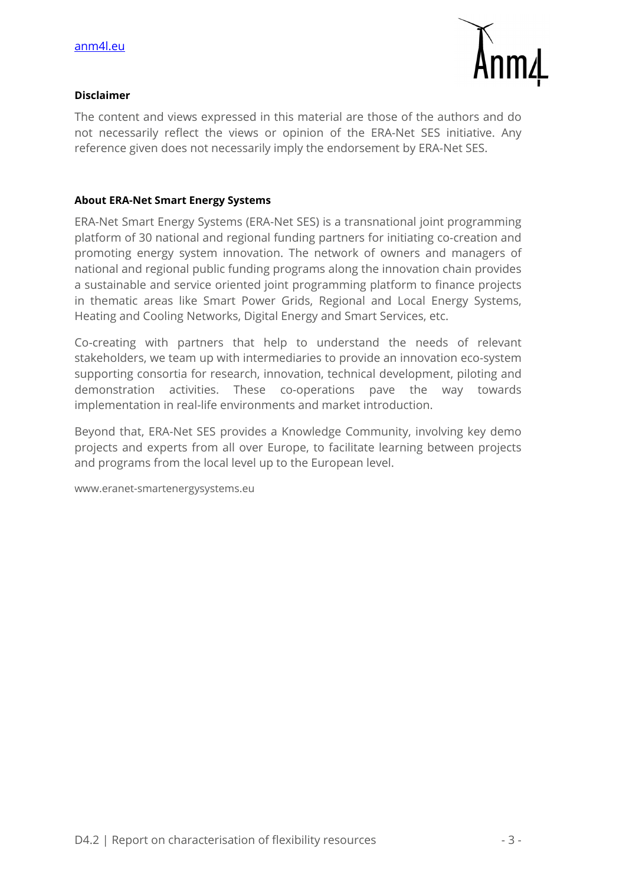

#### **Disclaimer**

The content and views expressed in this material are those of the authors and do not necessarily reflect the views or opinion of the ERA-Net SES initiative. Any reference given does not necessarily imply the endorsement by ERA-Net SES.

#### **About ERA-Net Smart Energy Systems**

ERA-Net Smart Energy Systems (ERA-Net SES) is a transnational joint programming platform of 30 national and regional funding partners for initiating co-creation and promoting energy system innovation. The network of owners and managers of national and regional public funding programs along the innovation chain provides a sustainable and service oriented joint programming platform to finance projects in thematic areas like Smart Power Grids, Regional and Local Energy Systems, Heating and Cooling Networks, Digital Energy and Smart Services, etc.

Co-creating with partners that help to understand the needs of relevant stakeholders, we team up with intermediaries to provide an innovation eco-system supporting consortia for research, innovation, technical development, piloting and demonstration activities. These co-operations pave the way towards implementation in real-life environments and market introduction.

Beyond that, ERA-Net SES provides a Knowledge Community, involving key demo projects and experts from all over Europe, to facilitate learning between projects and programs from the local level up to the European level.

www.eranet-smartenergysystems.eu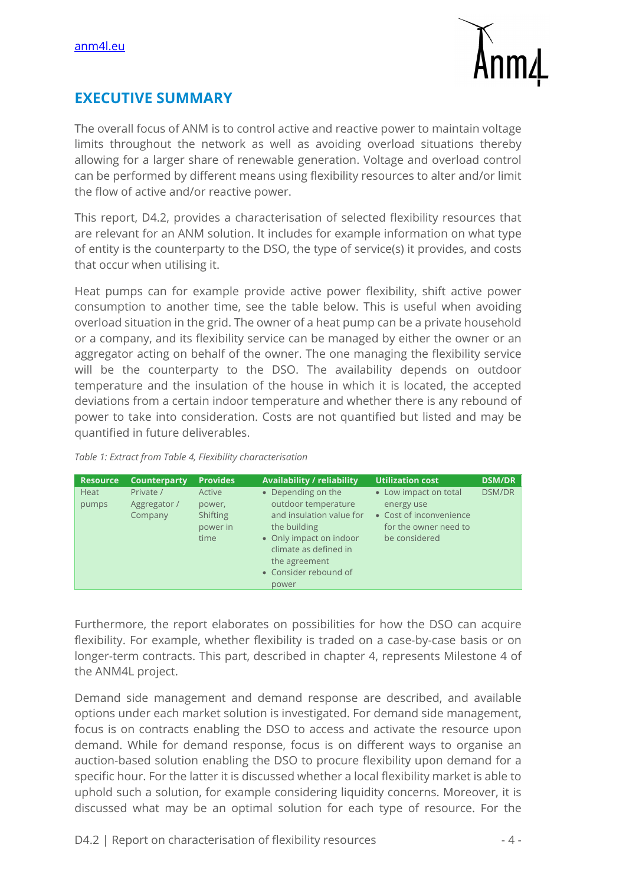

# **EXECUTIVE SUMMARY**

The overall focus of ANM is to control active and reactive power to maintain voltage limits throughout the network as well as avoiding overload situations thereby allowing for a larger share of renewable generation. Voltage and overload control can be performed by different means using flexibility resources to alter and/or limit the flow of active and/or reactive power.

This report, D4.2, provides a characterisation of selected flexibility resources that are relevant for an ANM solution. It includes for example information on what type of entity is the counterparty to the DSO, the type of service(s) it provides, and costs that occur when utilising it.

Heat pumps can for example provide active power flexibility, shift active power consumption to another time, see the table below. This is useful when avoiding overload situation in the grid. The owner of a heat pump can be a private household or a company, and its flexibility service can be managed by either the owner or an aggregator acting on behalf of the owner. The one managing the flexibility service will be the counterparty to the DSO. The availability depends on outdoor temperature and the insulation of the house in which it is located, the accepted deviations from a certain indoor temperature and whether there is any rebound of power to take into consideration. Costs are not quantified but listed and may be quantified in future deliverables.

| Table 1: Extract from Table 4, Flexibility characterisation |  |
|-------------------------------------------------------------|--|
|-------------------------------------------------------------|--|

| <b>Resource</b> | Counterparty | <b>Provides</b> | <b>Availability / reliability</b>                | <b>Utilization cost</b> | <b>DSM/DR</b> |
|-----------------|--------------|-----------------|--------------------------------------------------|-------------------------|---------------|
| <b>Heat</b>     | Private /    | Active          | • Depending on the                               | • Low impact on total   | <b>DSM/DR</b> |
| pumps           | Aggregator / | power,          | outdoor temperature                              | energy use              |               |
|                 | Company      | <b>Shifting</b> | and insulation value for                         | • Cost of inconvenience |               |
|                 |              | power in        | the building                                     | for the owner need to   |               |
|                 |              | time            | • Only impact on indoor<br>climate as defined in | be considered           |               |
|                 |              |                 | the agreement                                    |                         |               |
|                 |              |                 | • Consider rebound of                            |                         |               |
|                 |              |                 | power                                            |                         |               |

Furthermore, the report elaborates on possibilities for how the DSO can acquire flexibility. For example, whether flexibility is traded on a case-by-case basis or on longer-term contracts. This part, described in chapter 4, represents Milestone 4 of the ANM4L project.

Demand side management and demand response are described, and available options under each market solution is investigated. For demand side management, focus is on contracts enabling the DSO to access and activate the resource upon demand. While for demand response, focus is on different ways to organise an auction-based solution enabling the DSO to procure flexibility upon demand for a specific hour. For the latter it is discussed whether a local flexibility market is able to uphold such a solution, for example considering liquidity concerns. Moreover, it is discussed what may be an optimal solution for each type of resource. For the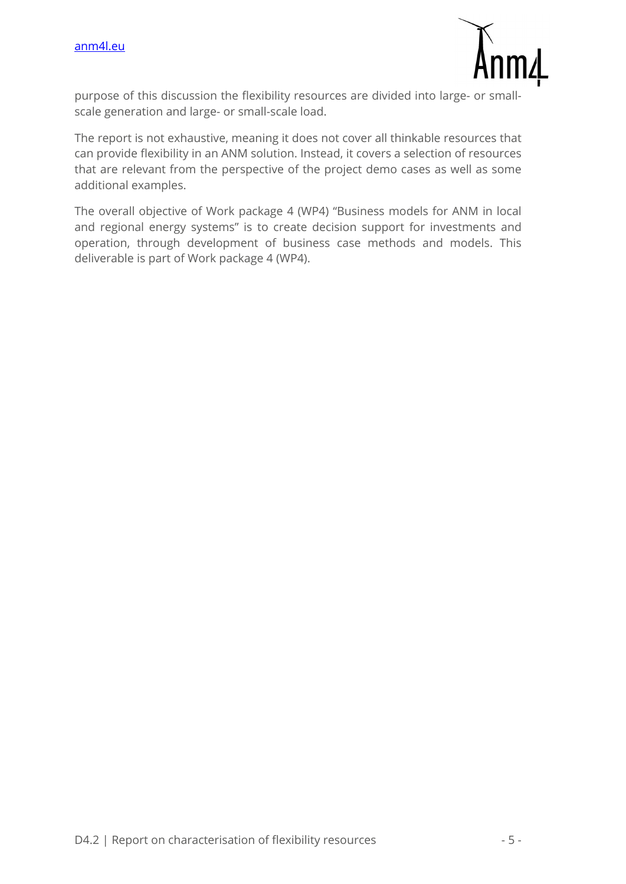

purpose of this discussion the flexibility resources are divided into large- or smallscale generation and large- or small-scale load.

The report is not exhaustive, meaning it does not cover all thinkable resources that can provide flexibility in an ANM solution. Instead, it covers a selection of resources that are relevant from the perspective of the project demo cases as well as some additional examples.

The overall objective of Work package 4 (WP4) "Business models for ANM in local and regional energy systems" is to create decision support for investments and operation, through development of business case methods and models. This deliverable is part of Work package 4 (WP4).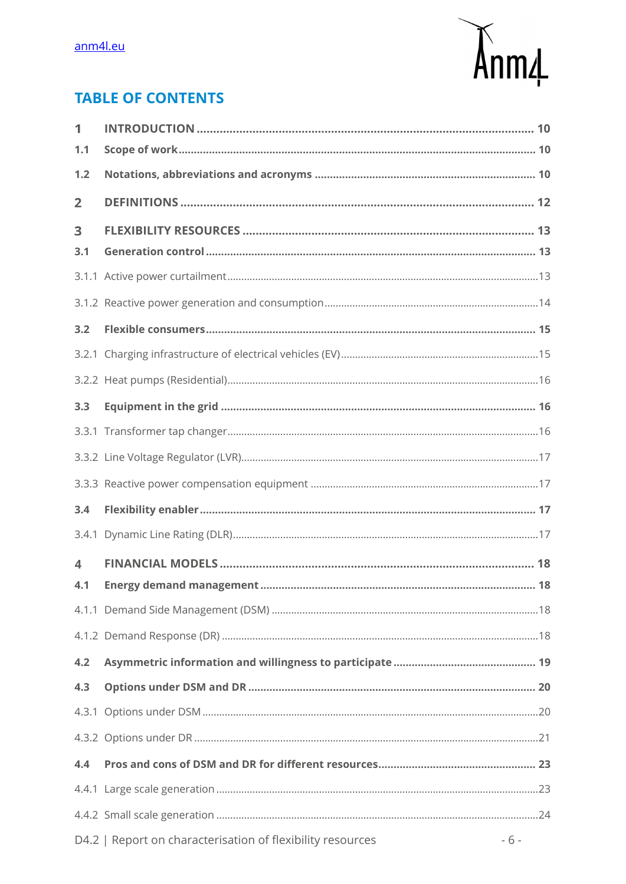

# **TABLE OF CONTENTS**

| 1              |                                                                     |
|----------------|---------------------------------------------------------------------|
| 1.1            |                                                                     |
| 1.2            |                                                                     |
| $\overline{2}$ |                                                                     |
| 3              |                                                                     |
| 3.1            |                                                                     |
|                |                                                                     |
|                |                                                                     |
| 3.2            |                                                                     |
|                |                                                                     |
|                |                                                                     |
| 3.3            |                                                                     |
|                |                                                                     |
|                |                                                                     |
|                |                                                                     |
| 3.4            |                                                                     |
|                |                                                                     |
| 4              |                                                                     |
| 4.1            |                                                                     |
|                |                                                                     |
|                |                                                                     |
| 4.2            |                                                                     |
| 4.3            |                                                                     |
|                |                                                                     |
|                |                                                                     |
| 4.4            |                                                                     |
|                |                                                                     |
|                |                                                                     |
|                | $-6-$<br>D4.2   Report on characterisation of flexibility resources |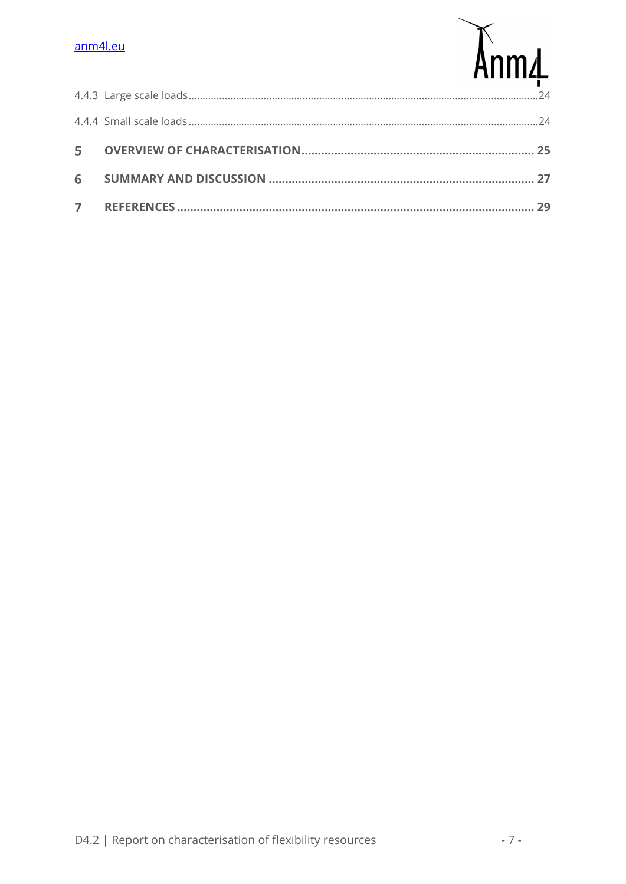## anm4l.eu

# Anm4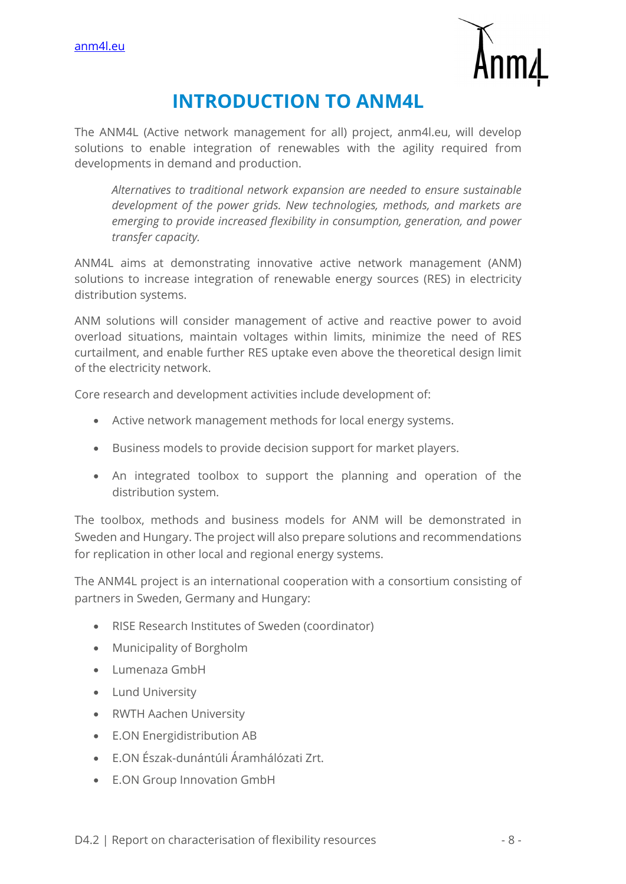

# **INTRODUCTION TO ANM4L**

The ANM4L (Active network management for all) project, anm4l.eu, will develop solutions to enable integration of renewables with the agility required from developments in demand and production.

*Alternatives to traditional network expansion are needed to ensure sustainable development of the power grids. New technologies, methods, and markets are emerging to provide increased flexibility in consumption, generation, and power transfer capacity.*

ANM4L aims at demonstrating innovative active network management (ANM) solutions to increase integration of renewable energy sources (RES) in electricity distribution systems.

ANM solutions will consider management of active and reactive power to avoid overload situations, maintain voltages within limits, minimize the need of RES curtailment, and enable further RES uptake even above the theoretical design limit of the electricity network.

Core research and development activities include development of:

- Active network management methods for local energy systems.
- Business models to provide decision support for market players.
- An integrated toolbox to support the planning and operation of the distribution system.

The toolbox, methods and business models for ANM will be demonstrated in Sweden and Hungary. The project will also prepare solutions and recommendations for replication in other local and regional energy systems.

The ANM4L project is an international cooperation with a consortium consisting of partners in Sweden, Germany and Hungary:

- RISE Research Institutes of Sweden (coordinator)
- Municipality of Borgholm
- Lumenaza GmbH
- Lund University
- RWTH Aachen University
- E.ON Energidistribution AB
- E.ON Észak-dunántúli Áramhálózati Zrt.
- E.ON Group Innovation GmbH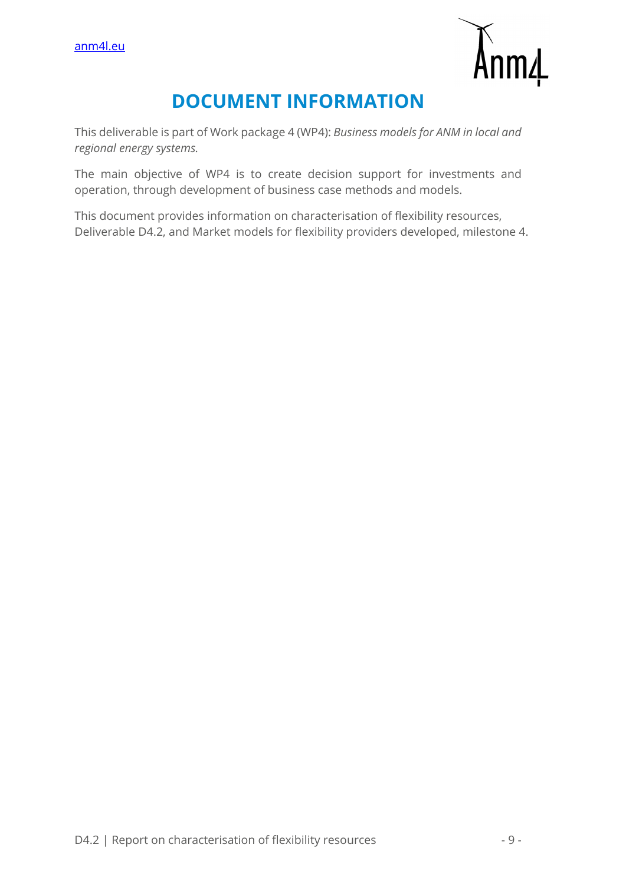

# **DOCUMENT INFORMATION**

This deliverable is part of Work package 4 (WP4): *Business models for ANM in local and regional energy systems.*

The main objective of WP4 is to create decision support for investments and operation, through development of business case methods and models.

This document provides information on characterisation of flexibility resources, Deliverable D4.2, and Market models for flexibility providers developed, milestone 4.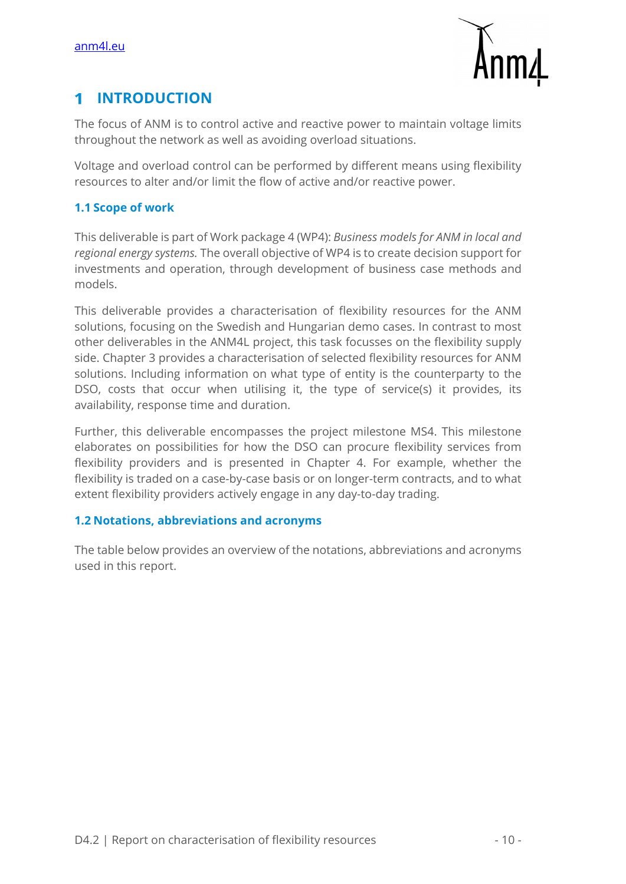

#### **INTRODUCTION**  1

The focus of ANM is to control active and reactive power to maintain voltage limits throughout the network as well as avoiding overload situations.

Voltage and overload control can be performed by different means using flexibility resources to alter and/or limit the flow of active and/or reactive power.

## **1.1 Scope of work**

This deliverable is part of Work package 4 (WP4): *Business models for ANM in local and regional energy systems.* The overall objective of WP4 is to create decision support for investments and operation, through development of business case methods and models.

This deliverable provides a characterisation of flexibility resources for the ANM solutions, focusing on the Swedish and Hungarian demo cases. In contrast to most other deliverables in the ANM4L project, this task focusses on the flexibility supply side. Chapter 3 provides a characterisation of selected flexibility resources for ANM solutions. Including information on what type of entity is the counterparty to the DSO, costs that occur when utilising it, the type of service(s) it provides, its availability, response time and duration.

Further, this deliverable encompasses the project milestone MS4. This milestone elaborates on possibilities for how the DSO can procure flexibility services from flexibility providers and is presented in Chapter 4. For example, whether the flexibility is traded on a case-by-case basis or on longer-term contracts, and to what extent flexibility providers actively engage in any day-to-day trading.

#### **1.2 Notations, abbreviations and acronyms**

The table below provides an overview of the notations, abbreviations and acronyms used in this report.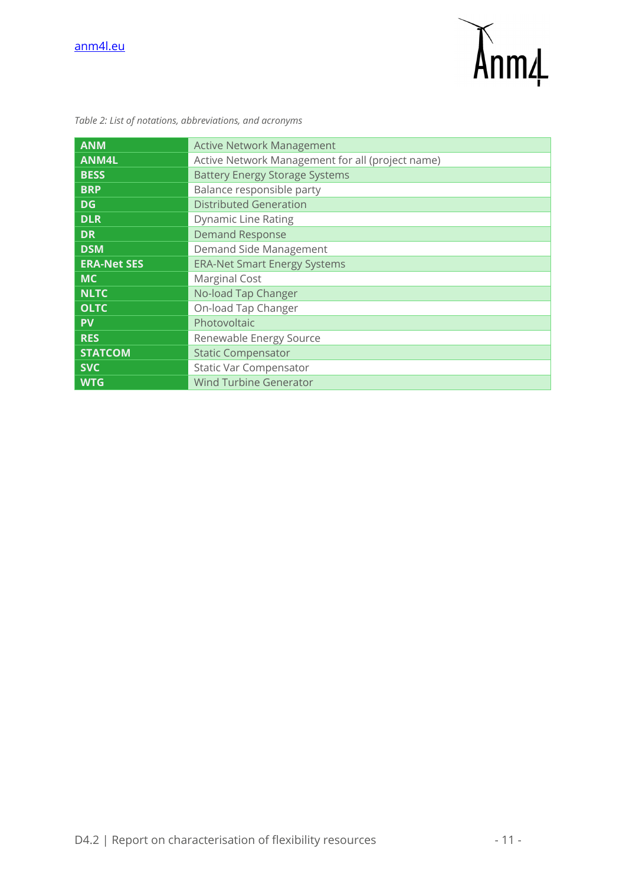

| <b>ANM</b>         | <b>Active Network Management</b>                 |  |  |  |  |
|--------------------|--------------------------------------------------|--|--|--|--|
| <b>ANM4L</b>       | Active Network Management for all (project name) |  |  |  |  |
| <b>BESS</b>        | <b>Battery Energy Storage Systems</b>            |  |  |  |  |
| <b>BRP</b>         | Balance responsible party                        |  |  |  |  |
| DG                 | <b>Distributed Generation</b>                    |  |  |  |  |
| <b>DLR</b>         | <b>Dynamic Line Rating</b>                       |  |  |  |  |
| <b>DR</b>          | <b>Demand Response</b>                           |  |  |  |  |
| <b>DSM</b>         | Demand Side Management                           |  |  |  |  |
| <b>ERA-Net SES</b> | <b>ERA-Net Smart Energy Systems</b>              |  |  |  |  |
| <b>MC</b>          | <b>Marginal Cost</b>                             |  |  |  |  |
| <b>NLTC</b>        | No-load Tap Changer                              |  |  |  |  |
| <b>OLTC</b>        | On-load Tap Changer                              |  |  |  |  |
| <b>PV</b>          | Photovoltaic                                     |  |  |  |  |
| <b>RES</b>         | Renewable Energy Source                          |  |  |  |  |
| <b>STATCOM</b>     | <b>Static Compensator</b>                        |  |  |  |  |
| <b>SVC</b>         | <b>Static Var Compensator</b>                    |  |  |  |  |
| <b>WTG</b>         | <b>Wind Turbine Generator</b>                    |  |  |  |  |

*Table 2: List of notations, abbreviations, and acronyms*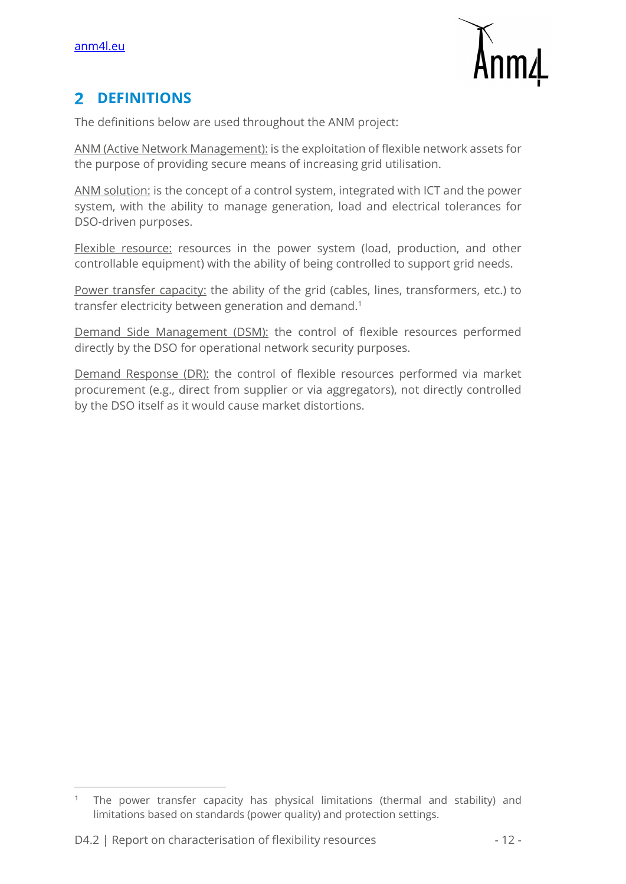

#### **DEFINITIONS**   $\overline{2}$

The definitions below are used throughout the ANM project:

ANM (Active Network Management): is the exploitation of flexible network assets for the purpose of providing secure means of increasing grid utilisation.

ANM solution: is the concept of a control system, integrated with ICT and the power system, with the ability to manage generation, load and electrical tolerances for DSO-driven purposes.

Flexible resource: resources in the power system (load, production, and other controllable equipment) with the ability of being controlled to support grid needs.

Power transfer capacity: the ability of the grid (cables, lines, transformers, etc.) to transfer electricity between generation and demand.<sup>1</sup>

Demand Side Management (DSM): the control of flexible resources performed directly by the DSO for operational network security purposes.

Demand Response (DR): the control of flexible resources performed via market procurement (e.g., direct from supplier or via aggregators), not directly controlled by the DSO itself as it would cause market distortions.

The power transfer capacity has physical limitations (thermal and stability) and limitations based on standards (power quality) and protection settings.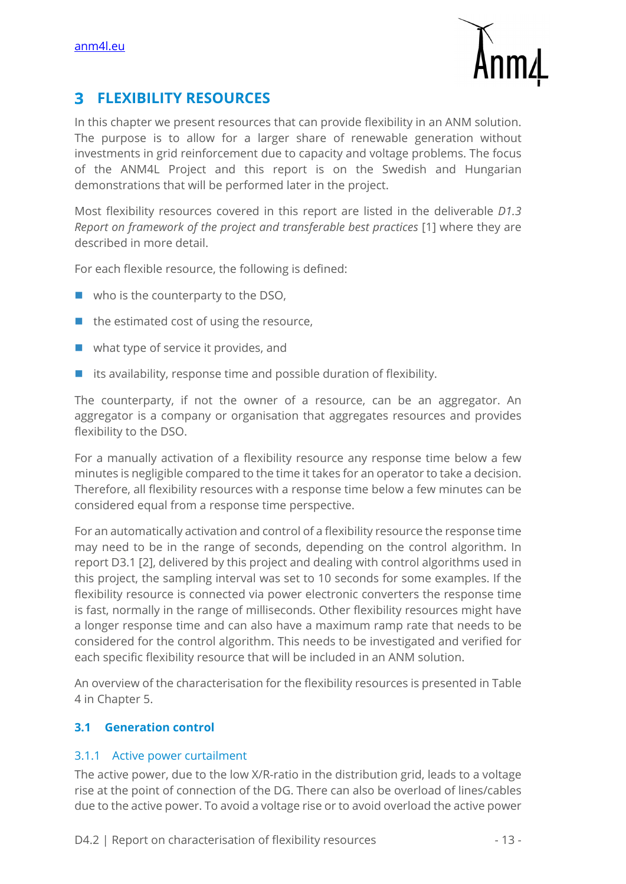

#### 3 **FLEXIBILITY RESOURCES**

In this chapter we present resources that can provide flexibility in an ANM solution. The purpose is to allow for a larger share of renewable generation without investments in grid reinforcement due to capacity and voltage problems. The focus of the ANM4L Project and this report is on the Swedish and Hungarian demonstrations that will be performed later in the project.

Most flexibility resources covered in this report are listed in the deliverable *D1.3 Report on framework of the project and transferable best practices* [1] where they are described in more detail.

For each flexible resource, the following is defined:

- $\blacksquare$  who is the counterparty to the DSO,
- $\blacksquare$  the estimated cost of using the resource,
- what type of service it provides, and
- $\blacksquare$  its availability, response time and possible duration of flexibility.

The counterparty, if not the owner of a resource, can be an aggregator. An aggregator is a company or organisation that aggregates resources and provides flexibility to the DSO.

For a manually activation of a flexibility resource any response time below a few minutes is negligible compared to the time it takes for an operator to take a decision. Therefore, all flexibility resources with a response time below a few minutes can be considered equal from a response time perspective.

For an automatically activation and control of a flexibility resource the response time may need to be in the range of seconds, depending on the control algorithm. In report D3.1 [2], delivered by this project and dealing with control algorithms used in this project, the sampling interval was set to 10 seconds for some examples. If the flexibility resource is connected via power electronic converters the response time is fast, normally in the range of milliseconds. Other flexibility resources might have a longer response time and can also have a maximum ramp rate that needs to be considered for the control algorithm. This needs to be investigated and verified for each specific flexibility resource that will be included in an ANM solution.

An overview of the characterisation for the flexibility resources is presented in Table 4 in Chapter 5.

#### **3.1 Generation control**

#### 3.1.1 Active power curtailment

The active power, due to the low X/R-ratio in the distribution grid, leads to a voltage rise at the point of connection of the DG. There can also be overload of lines/cables due to the active power. To avoid a voltage rise or to avoid overload the active power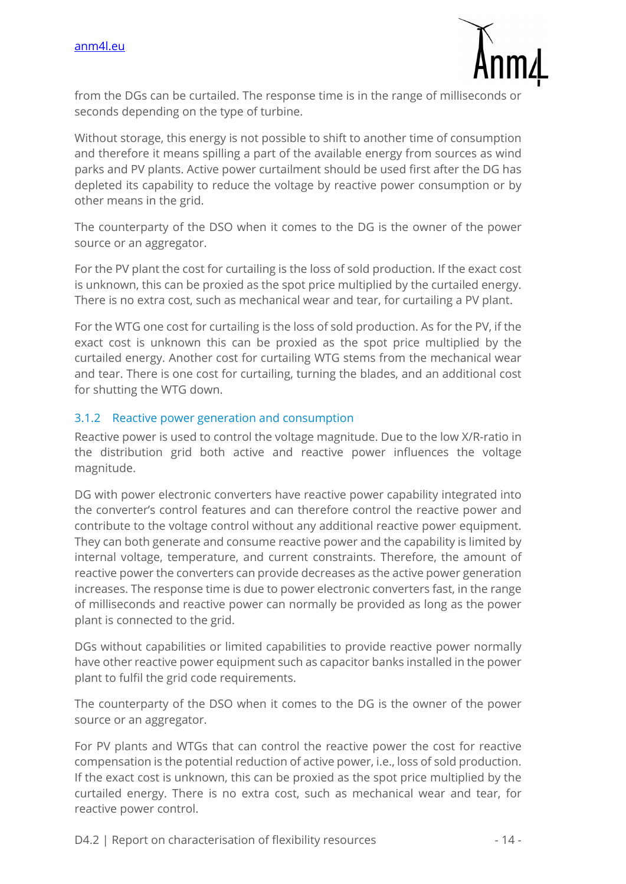

from the DGs can be curtailed. The response time is in the range of milliseconds or seconds depending on the type of turbine.

Without storage, this energy is not possible to shift to another time of consumption and therefore it means spilling a part of the available energy from sources as wind parks and PV plants. Active power curtailment should be used first after the DG has depleted its capability to reduce the voltage by reactive power consumption or by other means in the grid.

The counterparty of the DSO when it comes to the DG is the owner of the power source or an aggregator.

For the PV plant the cost for curtailing is the loss of sold production. If the exact cost is unknown, this can be proxied as the spot price multiplied by the curtailed energy. There is no extra cost, such as mechanical wear and tear, for curtailing a PV plant.

For the WTG one cost for curtailing is the loss of sold production. As for the PV, if the exact cost is unknown this can be proxied as the spot price multiplied by the curtailed energy. Another cost for curtailing WTG stems from the mechanical wear and tear. There is one cost for curtailing, turning the blades, and an additional cost for shutting the WTG down.

## 3.1.2 Reactive power generation and consumption

Reactive power is used to control the voltage magnitude. Due to the low X/R-ratio in the distribution grid both active and reactive power influences the voltage magnitude.

DG with power electronic converters have reactive power capability integrated into the converter's control features and can therefore control the reactive power and contribute to the voltage control without any additional reactive power equipment. They can both generate and consume reactive power and the capability is limited by internal voltage, temperature, and current constraints. Therefore, the amount of reactive power the converters can provide decreases as the active power generation increases. The response time is due to power electronic converters fast, in the range of milliseconds and reactive power can normally be provided as long as the power plant is connected to the grid.

DGs without capabilities or limited capabilities to provide reactive power normally have other reactive power equipment such as capacitor banks installed in the power plant to fulfil the grid code requirements.

The counterparty of the DSO when it comes to the DG is the owner of the power source or an aggregator.

For PV plants and WTGs that can control the reactive power the cost for reactive compensation is the potential reduction of active power, i.e., loss of sold production. If the exact cost is unknown, this can be proxied as the spot price multiplied by the curtailed energy. There is no extra cost, such as mechanical wear and tear, for reactive power control.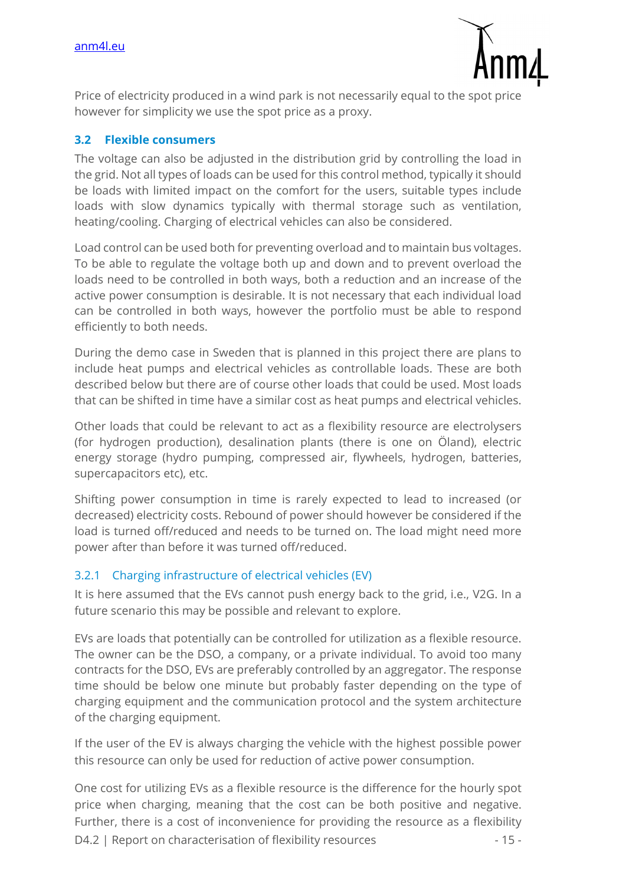

Price of electricity produced in a wind park is not necessarily equal to the spot price however for simplicity we use the spot price as a proxy.

#### **3.2 Flexible consumers**

The voltage can also be adjusted in the distribution grid by controlling the load in the grid. Not all types of loads can be used for this control method, typically it should be loads with limited impact on the comfort for the users, suitable types include loads with slow dynamics typically with thermal storage such as ventilation, heating/cooling. Charging of electrical vehicles can also be considered.

Load control can be used both for preventing overload and to maintain bus voltages. To be able to regulate the voltage both up and down and to prevent overload the loads need to be controlled in both ways, both a reduction and an increase of the active power consumption is desirable. It is not necessary that each individual load can be controlled in both ways, however the portfolio must be able to respond efficiently to both needs.

During the demo case in Sweden that is planned in this project there are plans to include heat pumps and electrical vehicles as controllable loads. These are both described below but there are of course other loads that could be used. Most loads that can be shifted in time have a similar cost as heat pumps and electrical vehicles.

Other loads that could be relevant to act as a flexibility resource are electrolysers (for hydrogen production), desalination plants (there is one on Öland), electric energy storage (hydro pumping, compressed air, flywheels, hydrogen, batteries, supercapacitors etc), etc.

Shifting power consumption in time is rarely expected to lead to increased (or decreased) electricity costs. Rebound of power should however be considered if the load is turned off/reduced and needs to be turned on. The load might need more power after than before it was turned off/reduced.

## 3.2.1 Charging infrastructure of electrical vehicles (EV)

It is here assumed that the EVs cannot push energy back to the grid, i.e., V2G. In a future scenario this may be possible and relevant to explore.

EVs are loads that potentially can be controlled for utilization as a flexible resource. The owner can be the DSO, a company, or a private individual. To avoid too many contracts for the DSO, EVs are preferably controlled by an aggregator. The response time should be below one minute but probably faster depending on the type of charging equipment and the communication protocol and the system architecture of the charging equipment.

If the user of the EV is always charging the vehicle with the highest possible power this resource can only be used for reduction of active power consumption.

D4.2 | Report on characterisation of flexibility resources - 15 -One cost for utilizing EVs as a flexible resource is the difference for the hourly spot price when charging, meaning that the cost can be both positive and negative. Further, there is a cost of inconvenience for providing the resource as a flexibility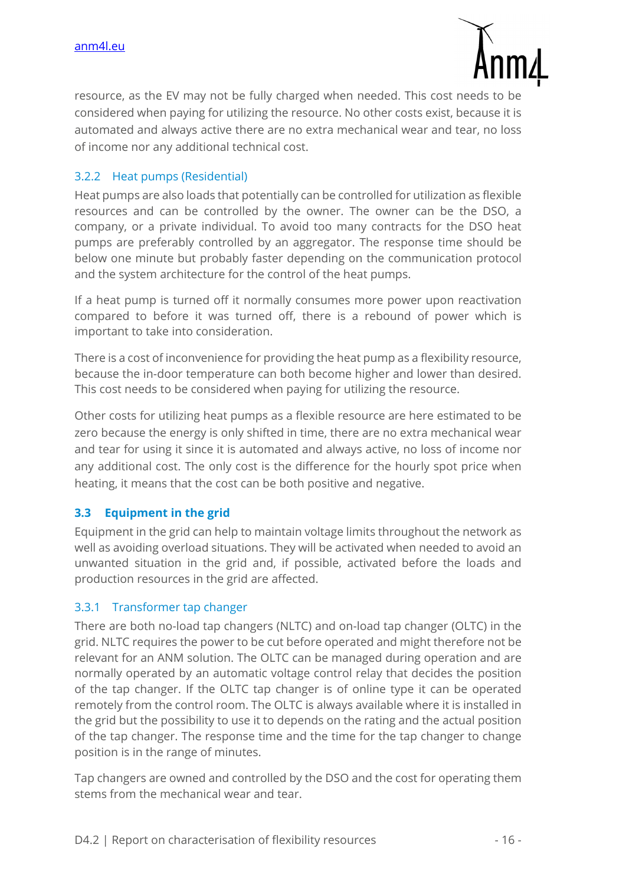

resource, as the EV may not be fully charged when needed. This cost needs to be considered when paying for utilizing the resource. No other costs exist, because it is automated and always active there are no extra mechanical wear and tear, no loss of income nor any additional technical cost.

#### 3.2.2 Heat pumps (Residential)

Heat pumps are also loads that potentially can be controlled for utilization as flexible resources and can be controlled by the owner. The owner can be the DSO, a company, or a private individual. To avoid too many contracts for the DSO heat pumps are preferably controlled by an aggregator. The response time should be below one minute but probably faster depending on the communication protocol and the system architecture for the control of the heat pumps.

If a heat pump is turned off it normally consumes more power upon reactivation compared to before it was turned off, there is a rebound of power which is important to take into consideration.

There is a cost of inconvenience for providing the heat pump as a flexibility resource, because the in-door temperature can both become higher and lower than desired. This cost needs to be considered when paying for utilizing the resource.

Other costs for utilizing heat pumps as a flexible resource are here estimated to be zero because the energy is only shifted in time, there are no extra mechanical wear and tear for using it since it is automated and always active, no loss of income nor any additional cost. The only cost is the difference for the hourly spot price when heating, it means that the cost can be both positive and negative.

## **3.3 Equipment in the grid**

Equipment in the grid can help to maintain voltage limits throughout the network as well as avoiding overload situations. They will be activated when needed to avoid an unwanted situation in the grid and, if possible, activated before the loads and production resources in the grid are affected.

#### 3.3.1 Transformer tap changer

There are both no-load tap changers (NLTC) and on-load tap changer (OLTC) in the grid. NLTC requires the power to be cut before operated and might therefore not be relevant for an ANM solution. The OLTC can be managed during operation and are normally operated by an automatic voltage control relay that decides the position of the tap changer. If the OLTC tap changer is of online type it can be operated remotely from the control room. The OLTC is always available where it is installed in the grid but the possibility to use it to depends on the rating and the actual position of the tap changer. The response time and the time for the tap changer to change position is in the range of minutes.

Tap changers are owned and controlled by the DSO and the cost for operating them stems from the mechanical wear and tear.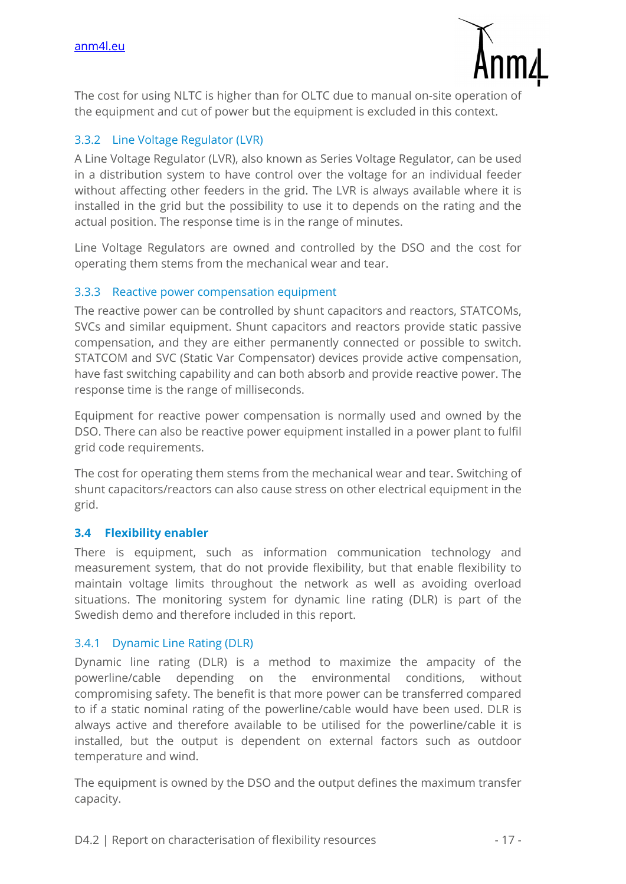

The cost for using NLTC is higher than for OLTC due to manual on-site operation of the equipment and cut of power but the equipment is excluded in this context.

## 3.3.2 Line Voltage Regulator (LVR)

A Line Voltage Regulator (LVR), also known as Series Voltage Regulator, can be used in a distribution system to have control over the voltage for an individual feeder without affecting other feeders in the grid. The LVR is always available where it is installed in the grid but the possibility to use it to depends on the rating and the actual position. The response time is in the range of minutes.

Line Voltage Regulators are owned and controlled by the DSO and the cost for operating them stems from the mechanical wear and tear.

#### 3.3.3 Reactive power compensation equipment

The reactive power can be controlled by shunt capacitors and reactors, STATCOMs, SVCs and similar equipment. Shunt capacitors and reactors provide static passive compensation, and they are either permanently connected or possible to switch. STATCOM and SVC (Static Var Compensator) devices provide active compensation, have fast switching capability and can both absorb and provide reactive power. The response time is the range of milliseconds.

Equipment for reactive power compensation is normally used and owned by the DSO. There can also be reactive power equipment installed in a power plant to fulfil grid code requirements.

The cost for operating them stems from the mechanical wear and tear. Switching of shunt capacitors/reactors can also cause stress on other electrical equipment in the grid.

#### **3.4 Flexibility enabler**

There is equipment, such as information communication technology and measurement system, that do not provide flexibility, but that enable flexibility to maintain voltage limits throughout the network as well as avoiding overload situations. The monitoring system for dynamic line rating (DLR) is part of the Swedish demo and therefore included in this report.

## 3.4.1 Dynamic Line Rating (DLR)

Dynamic line rating (DLR) is a method to maximize the ampacity of the powerline/cable depending on the environmental conditions, without compromising safety. The benefit is that more power can be transferred compared to if a static nominal rating of the powerline/cable would have been used. DLR is always active and therefore available to be utilised for the powerline/cable it is installed, but the output is dependent on external factors such as outdoor temperature and wind.

The equipment is owned by the DSO and the output defines the maximum transfer capacity.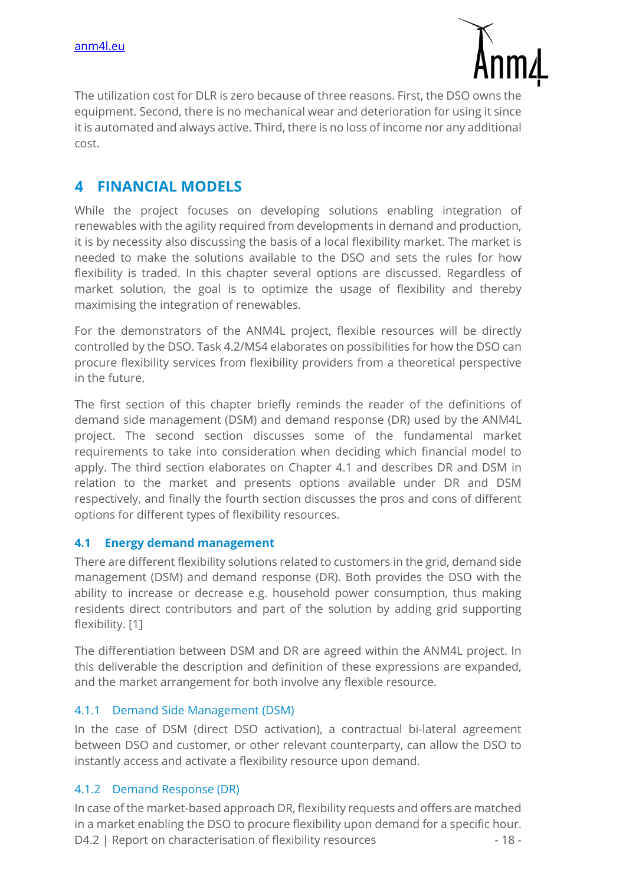

The utilization cost for DLR is zero because of three reasons. First, the DSO owns the equipment. Second, there is no mechanical wear and deterioration for using it since it is automated and always active. Third, there is no loss of income nor any additional cost.

#### $\blacktriangle$ **FINANCIAL MODELS**

While the project focuses on developing solutions enabling integration of renewables with the agility required from developments in demand and production, it is by necessity also discussing the basis of a local flexibility market. The market is needed to make the solutions available to the DSO and sets the rules for how flexibility is traded. In this chapter several options are discussed. Regardless of market solution, the goal is to optimize the usage of flexibility and thereby maximising the integration of renewables.

For the demonstrators of the ANM4L project, flexible resources will be directly controlled by the DSO. Task 4.2/MS4 elaborates on possibilities for how the DSO can procure flexibility services from flexibility providers from a theoretical perspective in the future.

The first section of this chapter briefly reminds the reader of the definitions of demand side management (DSM) and demand response (DR) used by the ANM4L project. The second section discusses some of the fundamental market requirements to take into consideration when deciding which financial model to apply. The third section elaborates on Chapter 4.1 and describes DR and DSM in relation to the market and presents options available under DR and DSM respectively, and finally the fourth section discusses the pros and cons of different options for different types of flexibility resources.

## **4.1 Energy demand management**

There are different flexibility solutions related to customers in the grid, demand side management (DSM) and demand response (DR). Both provides the DSO with the ability to increase or decrease e.g. household power consumption, thus making residents direct contributors and part of the solution by adding grid supporting flexibility. [1]

The differentiation between DSM and DR are agreed within the ANM4L project. In this deliverable the description and definition of these expressions are expanded, and the market arrangement for both involve any flexible resource.

#### 4.1.1 Demand Side Management (DSM)

In the case of DSM (direct DSO activation), a contractual bi-lateral agreement between DSO and customer, or other relevant counterparty, can allow the DSO to instantly access and activate a flexibility resource upon demand.

#### 4.1.2 Demand Response (DR)

D4.2 | Report on characterisation of flexibility resources - 18 -In case of the market-based approach DR, flexibility requests and offers are matched in a market enabling the DSO to procure flexibility upon demand for a specific hour.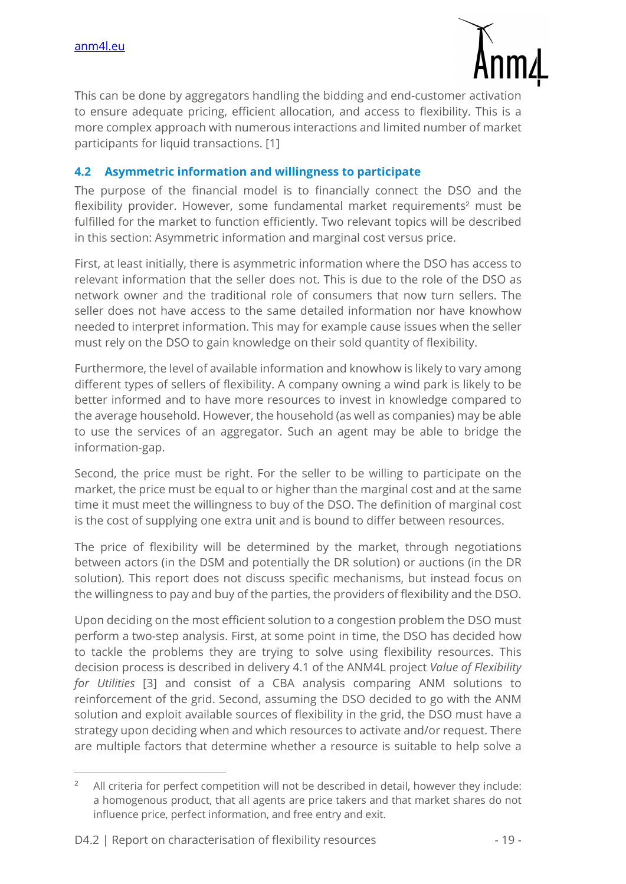

This can be done by aggregators handling the bidding and end-customer activation to ensure adequate pricing, efficient allocation, and access to flexibility. This is a more complex approach with numerous interactions and limited number of market participants for liquid transactions. [1]

#### **4.2 Asymmetric information and willingness to participate**

The purpose of the financial model is to financially connect the DSO and the flexibility provider. However, some fundamental market requirements<sup>2</sup> must be fulfilled for the market to function efficiently. Two relevant topics will be described in this section: Asymmetric information and marginal cost versus price.

First, at least initially, there is asymmetric information where the DSO has access to relevant information that the seller does not. This is due to the role of the DSO as network owner and the traditional role of consumers that now turn sellers. The seller does not have access to the same detailed information nor have knowhow needed to interpret information. This may for example cause issues when the seller must rely on the DSO to gain knowledge on their sold quantity of flexibility.

Furthermore, the level of available information and knowhow is likely to vary among different types of sellers of flexibility. A company owning a wind park is likely to be better informed and to have more resources to invest in knowledge compared to the average household. However, the household (as well as companies) may be able to use the services of an aggregator. Such an agent may be able to bridge the information-gap.

Second, the price must be right. For the seller to be willing to participate on the market, the price must be equal to or higher than the marginal cost and at the same time it must meet the willingness to buy of the DSO. The definition of marginal cost is the cost of supplying one extra unit and is bound to differ between resources.

The price of flexibility will be determined by the market, through negotiations between actors (in the DSM and potentially the DR solution) or auctions (in the DR solution). This report does not discuss specific mechanisms, but instead focus on the willingness to pay and buy of the parties, the providers of flexibility and the DSO.

Upon deciding on the most efficient solution to a congestion problem the DSO must perform a two-step analysis. First, at some point in time, the DSO has decided how to tackle the problems they are trying to solve using flexibility resources. This decision process is described in delivery 4.1 of the ANM4L project *Value of Flexibility for Utilities* [3] and consist of a CBA analysis comparing ANM solutions to reinforcement of the grid. Second, assuming the DSO decided to go with the ANM solution and exploit available sources of flexibility in the grid, the DSO must have a strategy upon deciding when and which resources to activate and/or request. There are multiple factors that determine whether a resource is suitable to help solve a

<sup>2</sup> All criteria for perfect competition will not be described in detail, however they include: a homogenous product, that all agents are price takers and that market shares do not influence price, perfect information, and free entry and exit.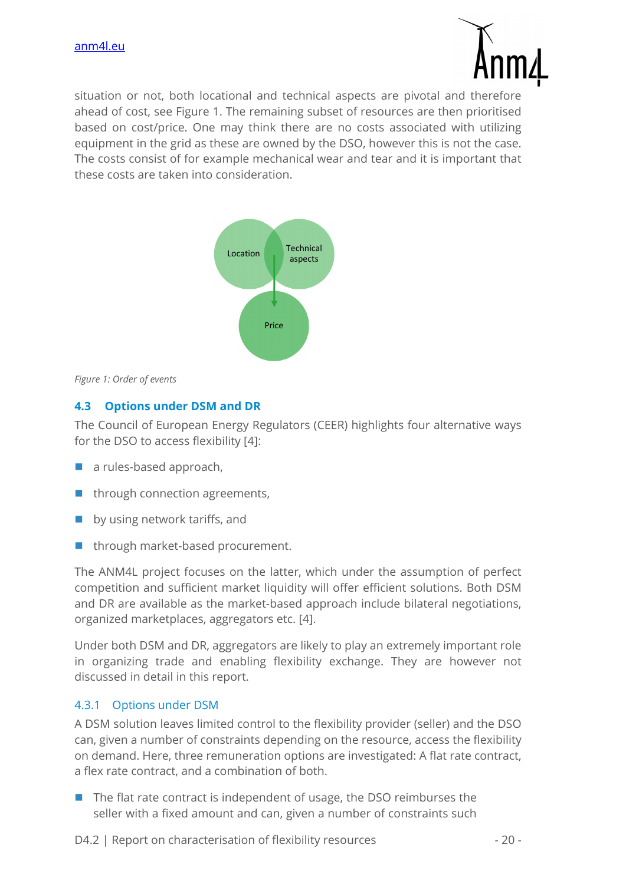

situation or not, both locational and technical aspects are pivotal and therefore ahead of cost, see Figure 1. The remaining subset of resources are then prioritised based on cost/price. One may think there are no costs associated with utilizing equipment in the grid as these are owned by the DSO, however this is not the case. The costs consist of for example mechanical wear and tear and it is important that these costs are taken into consideration.



*Figure 1: Order of events* 

## **4.3 Options under DSM and DR**

The Council of European Energy Regulators (CEER) highlights four alternative ways for the DSO to access flexibility [4]:

- $\blacksquare$  a rules-based approach,
- $\blacksquare$  through connection agreements,
- by using network tariffs, and
- $\blacksquare$  through market-based procurement.

The ANM4L project focuses on the latter, which under the assumption of perfect competition and sufficient market liquidity will offer efficient solutions. Both DSM and DR are available as the market-based approach include bilateral negotiations, organized marketplaces, aggregators etc. [4].

Under both DSM and DR, aggregators are likely to play an extremely important role in organizing trade and enabling flexibility exchange. They are however not discussed in detail in this report.

#### 4.3.1 Options under DSM

A DSM solution leaves limited control to the flexibility provider (seller) and the DSO can, given a number of constraints depending on the resource, access the flexibility on demand. Here, three remuneration options are investigated: A flat rate contract, a flex rate contract, and a combination of both.

 $\blacksquare$  The flat rate contract is independent of usage, the DSO reimburses the seller with a fixed amount and can, given a number of constraints such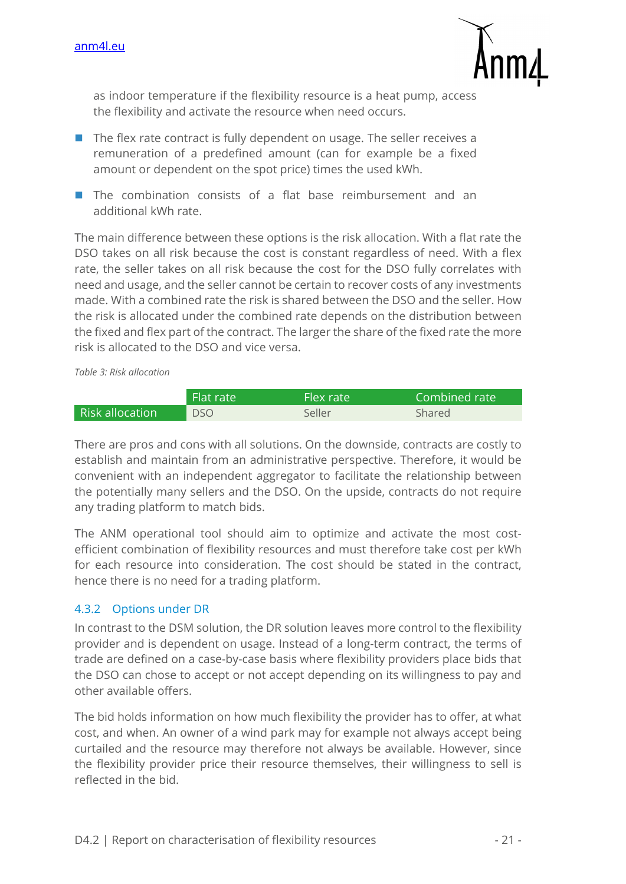

as indoor temperature if the flexibility resource is a heat pump, access the flexibility and activate the resource when need occurs.

- $\blacksquare$  The flex rate contract is fully dependent on usage. The seller receives a remuneration of a predefined amount (can for example be a fixed amount or dependent on the spot price) times the used kWh.
- The combination consists of a flat base reimbursement and an additional kWh rate.

The main difference between these options is the risk allocation. With a flat rate the DSO takes on all risk because the cost is constant regardless of need. With a flex rate, the seller takes on all risk because the cost for the DSO fully correlates with need and usage, and the seller cannot be certain to recover costs of any investments made. With a combined rate the risk is shared between the DSO and the seller. How the risk is allocated under the combined rate depends on the distribution between the fixed and flex part of the contract. The larger the share of the fixed rate the more risk is allocated to the DSO and vice versa.

*Table 3: Risk allocation* 

|                        | ا Flat rate | Flex rate | Combined rate |
|------------------------|-------------|-----------|---------------|
| <b>Risk allocation</b> | <b>DSO</b>  | Seller    | Shared        |

There are pros and cons with all solutions. On the downside, contracts are costly to establish and maintain from an administrative perspective. Therefore, it would be convenient with an independent aggregator to facilitate the relationship between the potentially many sellers and the DSO. On the upside, contracts do not require any trading platform to match bids.

The ANM operational tool should aim to optimize and activate the most costefficient combination of flexibility resources and must therefore take cost per kWh for each resource into consideration. The cost should be stated in the contract, hence there is no need for a trading platform.

## 4.3.2 Options under DR

In contrast to the DSM solution, the DR solution leaves more control to the flexibility provider and is dependent on usage. Instead of a long-term contract, the terms of trade are defined on a case-by-case basis where flexibility providers place bids that the DSO can chose to accept or not accept depending on its willingness to pay and other available offers.

The bid holds information on how much flexibility the provider has to offer, at what cost, and when. An owner of a wind park may for example not always accept being curtailed and the resource may therefore not always be available. However, since the flexibility provider price their resource themselves, their willingness to sell is reflected in the bid.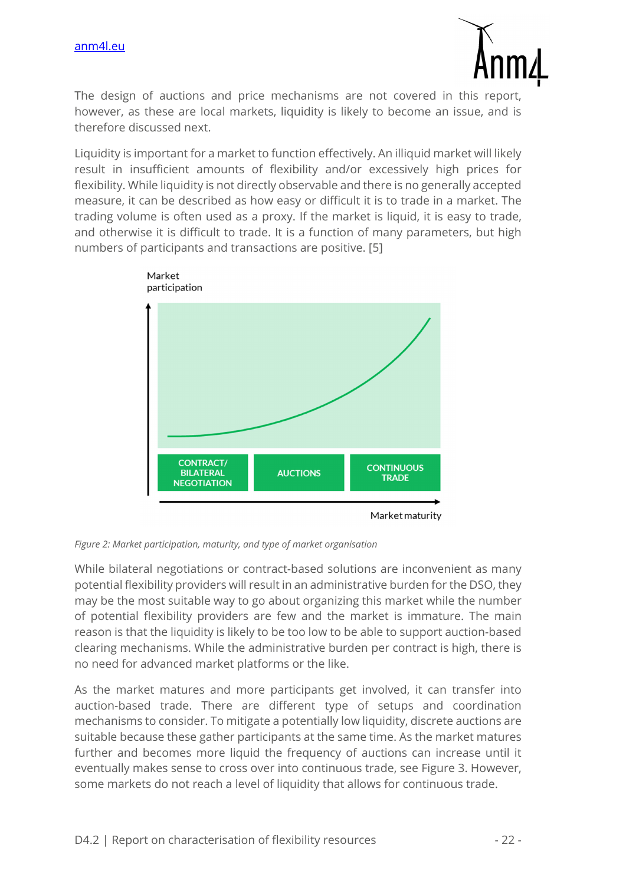

The design of auctions and price mechanisms are not covered in this report, however, as these are local markets, liquidity is likely to become an issue, and is therefore discussed next.

Liquidity is important for a market to function effectively. An illiquid market will likely result in insufficient amounts of flexibility and/or excessively high prices for flexibility. While liquidity is not directly observable and there is no generally accepted measure, it can be described as how easy or difficult it is to trade in a market. The trading volume is often used as a proxy. If the market is liquid, it is easy to trade, and otherwise it is difficult to trade. It is a function of many parameters, but high numbers of participants and transactions are positive. [5]



*Figure 2: Market participation, maturity, and type of market organisation* 

While bilateral negotiations or contract-based solutions are inconvenient as many potential flexibility providers will result in an administrative burden for the DSO, they may be the most suitable way to go about organizing this market while the number of potential flexibility providers are few and the market is immature. The main reason is that the liquidity is likely to be too low to be able to support auction-based clearing mechanisms. While the administrative burden per contract is high, there is no need for advanced market platforms or the like.

As the market matures and more participants get involved, it can transfer into auction-based trade. There are different type of setups and coordination mechanisms to consider. To mitigate a potentially low liquidity, discrete auctions are suitable because these gather participants at the same time. As the market matures further and becomes more liquid the frequency of auctions can increase until it eventually makes sense to cross over into continuous trade, see Figure 3. However, some markets do not reach a level of liquidity that allows for continuous trade.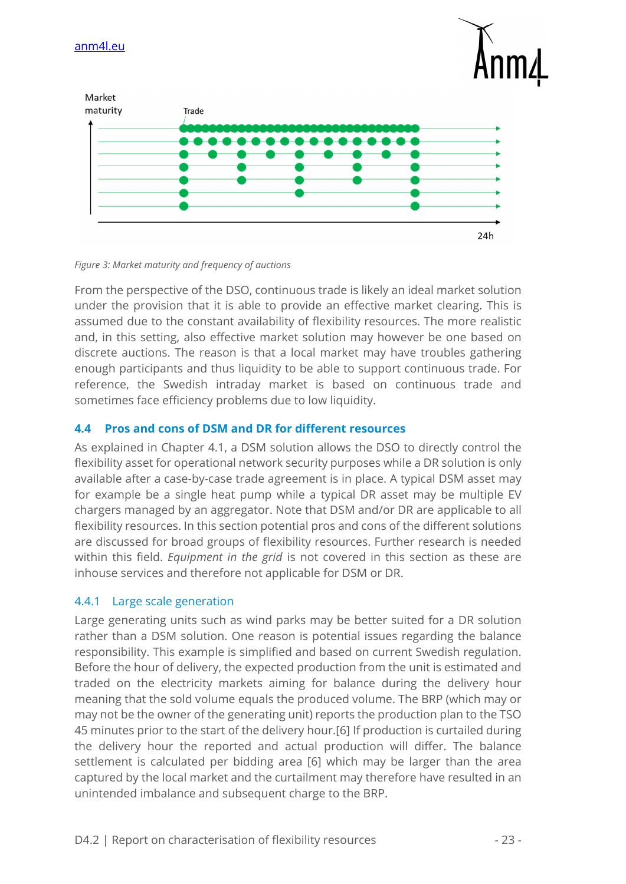

*Figure 3: Market maturity and frequency of auctions* 

From the perspective of the DSO, continuous trade is likely an ideal market solution under the provision that it is able to provide an effective market clearing. This is assumed due to the constant availability of flexibility resources. The more realistic and, in this setting, also effective market solution may however be one based on discrete auctions. The reason is that a local market may have troubles gathering enough participants and thus liquidity to be able to support continuous trade. For reference, the Swedish intraday market is based on continuous trade and sometimes face efficiency problems due to low liquidity.

## **4.4 Pros and cons of DSM and DR for different resources**

As explained in Chapter 4.1, a DSM solution allows the DSO to directly control the flexibility asset for operational network security purposes while a DR solution is only available after a case-by-case trade agreement is in place. A typical DSM asset may for example be a single heat pump while a typical DR asset may be multiple EV chargers managed by an aggregator. Note that DSM and/or DR are applicable to all flexibility resources. In this section potential pros and cons of the different solutions are discussed for broad groups of flexibility resources. Further research is needed within this field. *Equipment in the grid* is not covered in this section as these are inhouse services and therefore not applicable for DSM or DR.

#### 4.4.1 Large scale generation

Large generating units such as wind parks may be better suited for a DR solution rather than a DSM solution. One reason is potential issues regarding the balance responsibility. This example is simplified and based on current Swedish regulation. Before the hour of delivery, the expected production from the unit is estimated and traded on the electricity markets aiming for balance during the delivery hour meaning that the sold volume equals the produced volume. The BRP (which may or may not be the owner of the generating unit) reports the production plan to the TSO 45 minutes prior to the start of the delivery hour.[6] If production is curtailed during the delivery hour the reported and actual production will differ. The balance settlement is calculated per bidding area [6] which may be larger than the area captured by the local market and the curtailment may therefore have resulted in an unintended imbalance and subsequent charge to the BRP.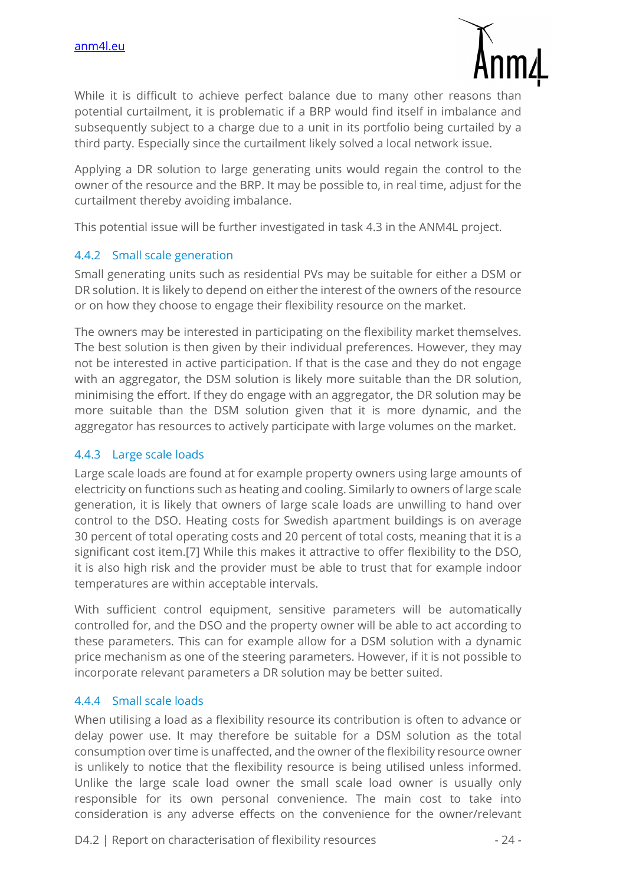

While it is difficult to achieve perfect balance due to many other reasons than potential curtailment, it is problematic if a BRP would find itself in imbalance and subsequently subject to a charge due to a unit in its portfolio being curtailed by a third party. Especially since the curtailment likely solved a local network issue.

Applying a DR solution to large generating units would regain the control to the owner of the resource and the BRP. It may be possible to, in real time, adjust for the curtailment thereby avoiding imbalance.

This potential issue will be further investigated in task 4.3 in the ANM4L project.

#### 4.4.2 Small scale generation

Small generating units such as residential PVs may be suitable for either a DSM or DR solution. It is likely to depend on either the interest of the owners of the resource or on how they choose to engage their flexibility resource on the market.

The owners may be interested in participating on the flexibility market themselves. The best solution is then given by their individual preferences. However, they may not be interested in active participation. If that is the case and they do not engage with an aggregator, the DSM solution is likely more suitable than the DR solution, minimising the effort. If they do engage with an aggregator, the DR solution may be more suitable than the DSM solution given that it is more dynamic, and the aggregator has resources to actively participate with large volumes on the market.

#### 4.4.3 Large scale loads

Large scale loads are found at for example property owners using large amounts of electricity on functions such as heating and cooling. Similarly to owners of large scale generation, it is likely that owners of large scale loads are unwilling to hand over control to the DSO. Heating costs for Swedish apartment buildings is on average 30 percent of total operating costs and 20 percent of total costs, meaning that it is a significant cost item.[7] While this makes it attractive to offer flexibility to the DSO, it is also high risk and the provider must be able to trust that for example indoor temperatures are within acceptable intervals.

With sufficient control equipment, sensitive parameters will be automatically controlled for, and the DSO and the property owner will be able to act according to these parameters. This can for example allow for a DSM solution with a dynamic price mechanism as one of the steering parameters. However, if it is not possible to incorporate relevant parameters a DR solution may be better suited.

#### 4.4.4 Small scale loads

When utilising a load as a flexibility resource its contribution is often to advance or delay power use. It may therefore be suitable for a DSM solution as the total consumption over time is unaffected, and the owner of the flexibility resource owner is unlikely to notice that the flexibility resource is being utilised unless informed. Unlike the large scale load owner the small scale load owner is usually only responsible for its own personal convenience. The main cost to take into consideration is any adverse effects on the convenience for the owner/relevant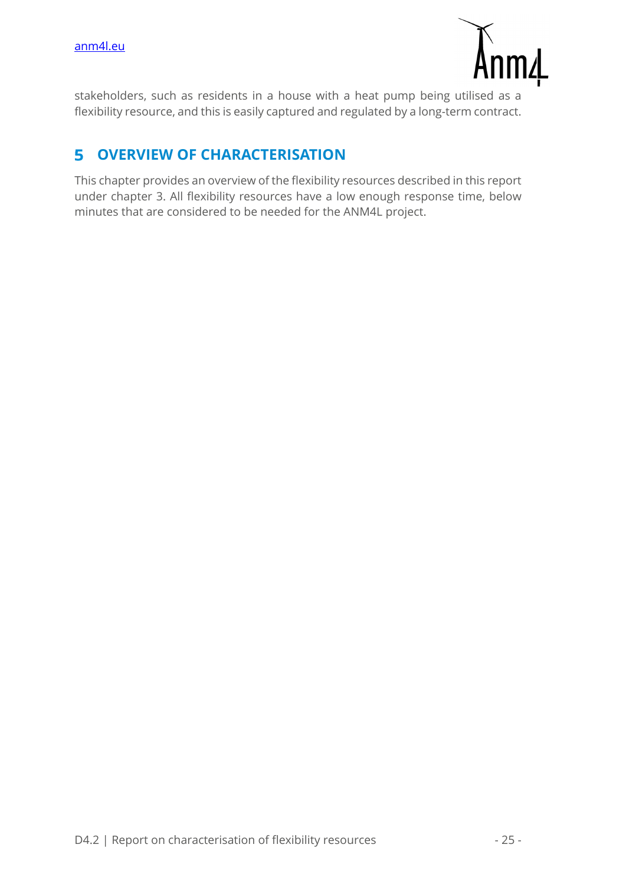

stakeholders, such as residents in a house with a heat pump being utilised as a flexibility resource, and this is easily captured and regulated by a long-term contract.

#### **OVERVIEW OF CHARACTERISATION**  5

This chapter provides an overview of the flexibility resources described in this report under chapter 3. All flexibility resources have a low enough response time, below minutes that are considered to be needed for the ANM4L project.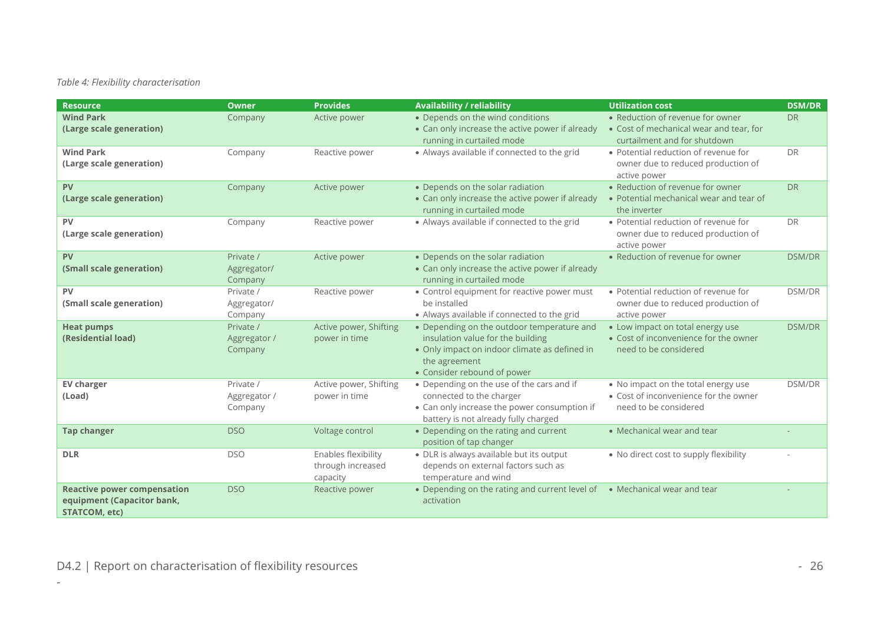#### *Table 4: Flexibility characterisation*

| <b>Resource</b>                                                                          | <b>Owner</b>                         | <b>Provides</b>                                      | <b>Availability / reliability</b>                                                                                                                                                | <b>Utilization cost</b>                                                                                     | <b>DSM/DR</b> |
|------------------------------------------------------------------------------------------|--------------------------------------|------------------------------------------------------|----------------------------------------------------------------------------------------------------------------------------------------------------------------------------------|-------------------------------------------------------------------------------------------------------------|---------------|
| <b>Wind Park</b><br>(Large scale generation)                                             | Company                              | Active power                                         | • Depends on the wind conditions<br>• Can only increase the active power if already<br>running in curtailed mode                                                                 | • Reduction of revenue for owner<br>• Cost of mechanical wear and tear, for<br>curtailment and for shutdown | <b>DR</b>     |
| <b>Wind Park</b><br>(Large scale generation)                                             | Company                              | Reactive power                                       | • Always available if connected to the grid                                                                                                                                      | • Potential reduction of revenue for<br>owner due to reduced production of<br>active power                  | <b>DR</b>     |
| <b>PV</b><br>(Large scale generation)                                                    | Company                              | Active power                                         | • Depends on the solar radiation<br>• Can only increase the active power if already<br>running in curtailed mode                                                                 | • Reduction of revenue for owner<br>• Potential mechanical wear and tear of<br>the inverter                 | <b>DR</b>     |
| <b>PV</b><br>(Large scale generation)                                                    | Company                              | Reactive power                                       | • Always available if connected to the grid                                                                                                                                      | • Potential reduction of revenue for<br>owner due to reduced production of<br>active power                  | <b>DR</b>     |
| <b>PV</b><br>(Small scale generation)                                                    | Private /<br>Aggregator/<br>Company  | Active power                                         | • Depends on the solar radiation<br>• Can only increase the active power if already<br>running in curtailed mode                                                                 | • Reduction of revenue for owner                                                                            | <b>DSM/DR</b> |
| <b>PV</b><br>(Small scale generation)                                                    | Private /<br>Aggregator/<br>Company  | Reactive power                                       | • Control equipment for reactive power must<br>be installed<br>• Always available if connected to the grid                                                                       | • Potential reduction of revenue for<br>owner due to reduced production of<br>active power                  | <b>DSM/DR</b> |
| <b>Heat pumps</b><br>(Residential load)                                                  | Private /<br>Aggregator /<br>Company | Active power, Shifting<br>power in time              | • Depending on the outdoor temperature and<br>insulation value for the building<br>• Only impact on indoor climate as defined in<br>the agreement<br>• Consider rebound of power | • Low impact on total energy use<br>• Cost of inconvenience for the owner<br>need to be considered          | <b>DSM/DR</b> |
| <b>EV charger</b><br>(Load)                                                              | Private /<br>Aggregator /<br>Company | Active power, Shifting<br>power in time              | • Depending on the use of the cars and if<br>connected to the charger<br>• Can only increase the power consumption if<br>battery is not already fully charged                    | • No impact on the total energy use<br>• Cost of inconvenience for the owner<br>need to be considered       | DSM/DR        |
| <b>Tap changer</b>                                                                       | <b>DSO</b>                           | Voltage control                                      | • Depending on the rating and current<br>position of tap changer                                                                                                                 | • Mechanical wear and tear                                                                                  |               |
| <b>DLR</b>                                                                               | <b>DSO</b>                           | Enables flexibility<br>through increased<br>capacity | • DLR is always available but its output<br>depends on external factors such as<br>temperature and wind                                                                          | • No direct cost to supply flexibility                                                                      |               |
| <b>Reactive power compensation</b><br>equipment (Capacitor bank,<br><b>STATCOM, etc)</b> | <b>DSO</b>                           | Reactive power                                       | • Depending on the rating and current level of<br>activation                                                                                                                     | • Mechanical wear and tear                                                                                  |               |

-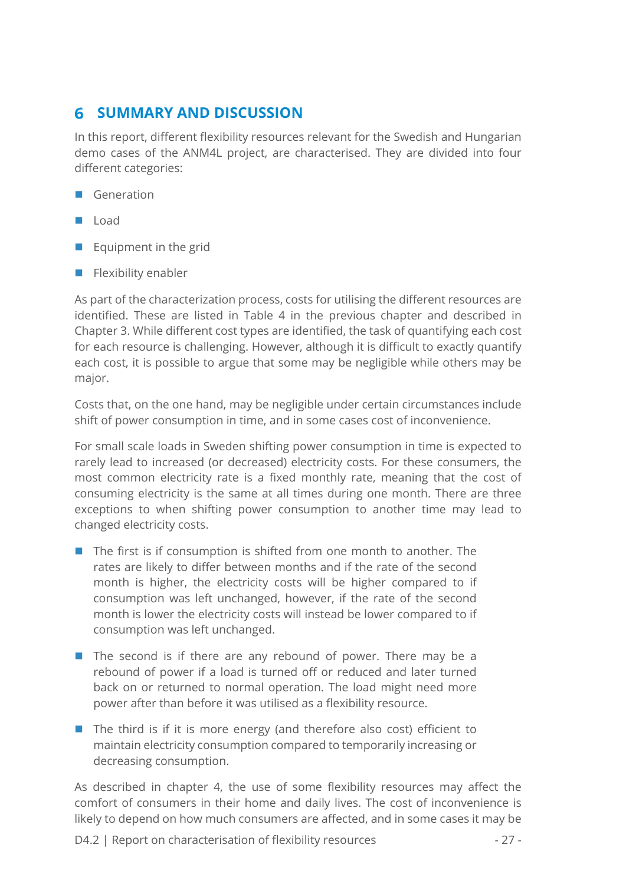# **6 SUMMARY AND DISCUSSION**

In this report, different flexibility resources relevant for the Swedish and Hungarian demo cases of the ANM4L project, are characterised. They are divided into four different categories:

- Generation
- **Load**
- $\blacksquare$  Equipment in the grid
- $\blacksquare$  Flexibility enabler

As part of the characterization process, costs for utilising the different resources are identified. These are listed in Table 4 in the previous chapter and described in Chapter 3. While different cost types are identified, the task of quantifying each cost for each resource is challenging. However, although it is difficult to exactly quantify each cost, it is possible to argue that some may be negligible while others may be major.

Costs that, on the one hand, may be negligible under certain circumstances include shift of power consumption in time, and in some cases cost of inconvenience.

For small scale loads in Sweden shifting power consumption in time is expected to rarely lead to increased (or decreased) electricity costs. For these consumers, the most common electricity rate is a fixed monthly rate, meaning that the cost of consuming electricity is the same at all times during one month. There are three exceptions to when shifting power consumption to another time may lead to changed electricity costs.

- The first is if consumption is shifted from one month to another. The rates are likely to differ between months and if the rate of the second month is higher, the electricity costs will be higher compared to if consumption was left unchanged, however, if the rate of the second month is lower the electricity costs will instead be lower compared to if consumption was left unchanged.
- The second is if there are any rebound of power. There may be a rebound of power if a load is turned off or reduced and later turned back on or returned to normal operation. The load might need more power after than before it was utilised as a flexibility resource.
- $\blacksquare$  The third is if it is more energy (and therefore also cost) efficient to maintain electricity consumption compared to temporarily increasing or decreasing consumption.

As described in chapter 4, the use of some flexibility resources may affect the comfort of consumers in their home and daily lives. The cost of inconvenience is likely to depend on how much consumers are affected, and in some cases it may be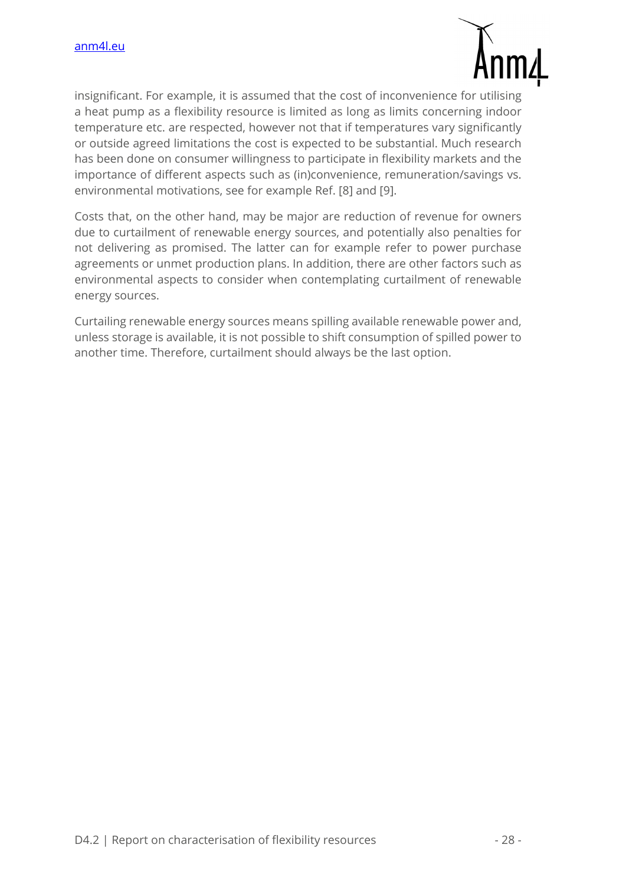

insignificant. For example, it is assumed that the cost of inconvenience for utilising a heat pump as a flexibility resource is limited as long as limits concerning indoor temperature etc. are respected, however not that if temperatures vary significantly or outside agreed limitations the cost is expected to be substantial. Much research has been done on consumer willingness to participate in flexibility markets and the importance of different aspects such as (in)convenience, remuneration/savings vs. environmental motivations, see for example Ref. [8] and [9].

Costs that, on the other hand, may be major are reduction of revenue for owners due to curtailment of renewable energy sources, and potentially also penalties for not delivering as promised. The latter can for example refer to power purchase agreements or unmet production plans. In addition, there are other factors such as environmental aspects to consider when contemplating curtailment of renewable energy sources.

Curtailing renewable energy sources means spilling available renewable power and, unless storage is available, it is not possible to shift consumption of spilled power to another time. Therefore, curtailment should always be the last option.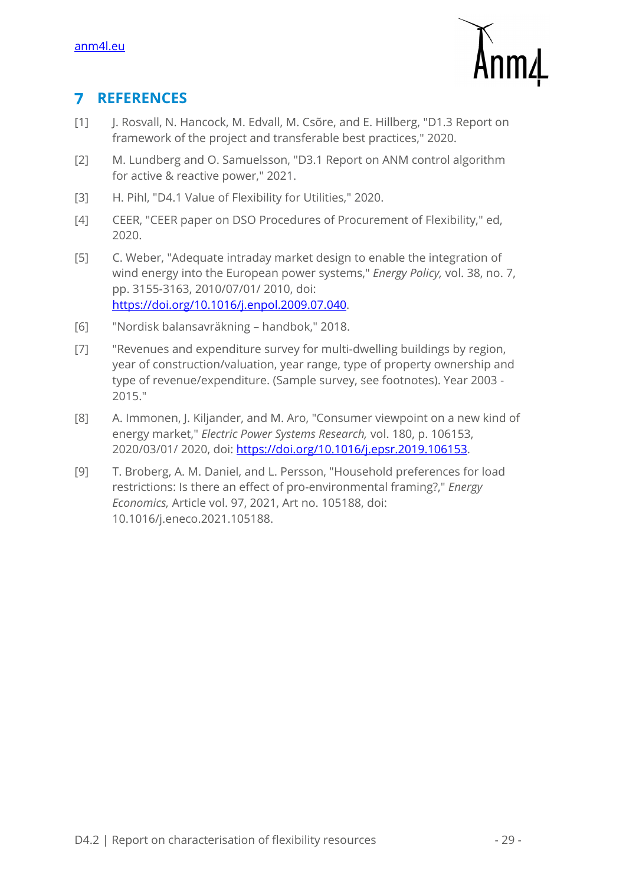

#### **REFERENCES**   $\overline{\mathbf{z}}$

- [1] J. Rosvall, N. Hancock, M. Edvall, M. Csõre, and E. Hillberg, "D1.3 Report on framework of the project and transferable best practices," 2020.
- [2] M. Lundberg and O. Samuelsson, "D3.1 Report on ANM control algorithm for active & reactive power," 2021.
- [3] H. Pihl, "D4.1 Value of Flexibility for Utilities," 2020.
- [4] CEER, "CEER paper on DSO Procedures of Procurement of Flexibility," ed, 2020.
- [5] C. Weber, "Adequate intraday market design to enable the integration of wind energy into the European power systems," *Energy Policy,* vol. 38, no. 7, pp. 3155-3163, 2010/07/01/ 2010, doi: https://doi.org/10.1016/j.enpol.2009.07.040.
- [6] "Nordisk balansavräkning handbok," 2018.
- [7] "Revenues and expenditure survey for multi-dwelling buildings by region, year of construction/valuation, year range, type of property ownership and type of revenue/expenditure. (Sample survey, see footnotes). Year 2003 - 2015."
- [8] A. Immonen, J. Kiljander, and M. Aro, "Consumer viewpoint on a new kind of energy market," *Electric Power Systems Research,* vol. 180, p. 106153, 2020/03/01/ 2020, doi: https://doi.org/10.1016/j.epsr.2019.106153.
- [9] T. Broberg, A. M. Daniel, and L. Persson, "Household preferences for load restrictions: Is there an effect of pro-environmental framing?," *Energy Economics,* Article vol. 97, 2021, Art no. 105188, doi: 10.1016/j.eneco.2021.105188.